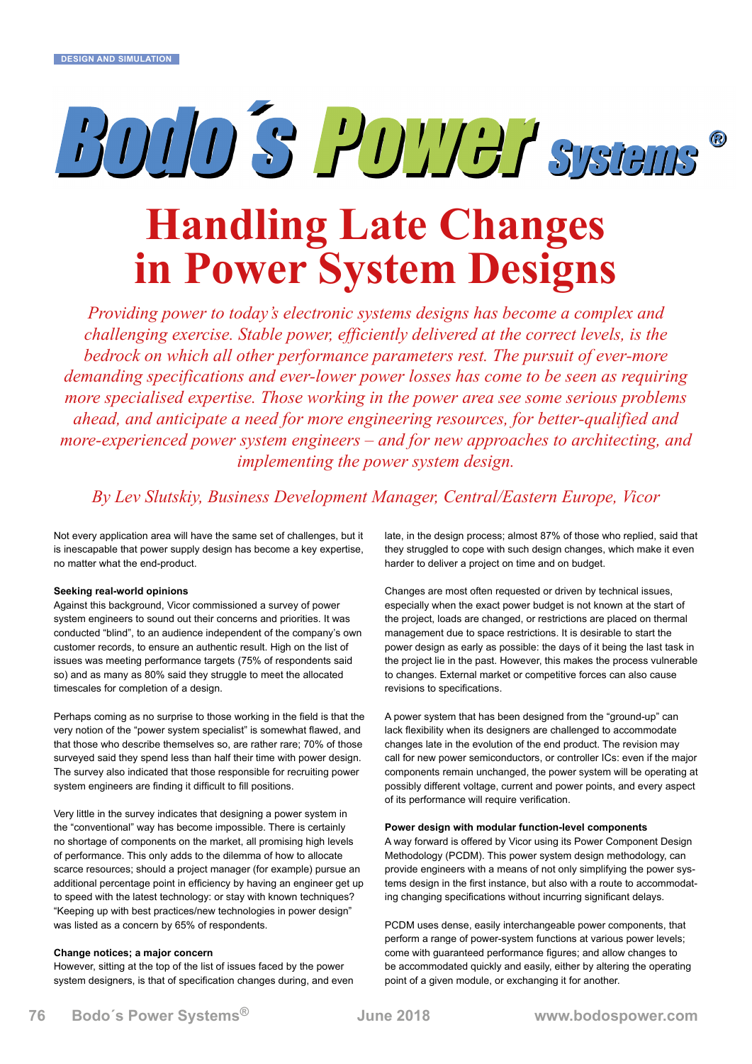# BOID'S POTTER Systems

## **Handling Late Changes in Power System Designs**

*Providing power to today's electronic systems designs has become a complex and challenging exercise. Stable power, efficiently delivered at the correct levels, is the bedrock on which all other performance parameters rest. The pursuit of ever-more demanding specifications and ever-lower power losses has come to be seen as requiring more specialised expertise. Those working in the power area see some serious problems ahead, and anticipate a need for more engineering resources, for better-qualified and more-experienced power system engineers – and for new approaches to architecting, and implementing the power system design.*

*By Lev Slutskiy, Business Development Manager, Central/Eastern Europe, Vicor*

Not every application area will have the same set of challenges, but it is inescapable that power supply design has become a key expertise, no matter what the end-product.

#### **Seeking real-world opinions**

Against this background, Vicor commissioned a survey of power system engineers to sound out their concerns and priorities. It was conducted "blind", to an audience independent of the company's own customer records, to ensure an authentic result. High on the list of issues was meeting performance targets (75% of respondents said so) and as many as 80% said they struggle to meet the allocated timescales for completion of a design.

Perhaps coming as no surprise to those working in the field is that the very notion of the "power system specialist" is somewhat flawed, and that those who describe themselves so, are rather rare; 70% of those surveyed said they spend less than half their time with power design. The survey also indicated that those responsible for recruiting power system engineers are finding it difficult to fill positions.

Very little in the survey indicates that designing a power system in the "conventional" way has become impossible. There is certainly no shortage of components on the market, all promising high levels of performance. This only adds to the dilemma of how to allocate scarce resources; should a project manager (for example) pursue an additional percentage point in efficiency by having an engineer get up to speed with the latest technology: or stay with known techniques? "Keeping up with best practices/new technologies in power design" was listed as a concern by 65% of respondents.

#### **Change notices; a major concern**

However, sitting at the top of the list of issues faced by the power system designers, is that of specification changes during, and even late, in the design process; almost 87% of those who replied, said that they struggled to cope with such design changes, which make it even harder to deliver a project on time and on budget.

Changes are most often requested or driven by technical issues, especially when the exact power budget is not known at the start of the project, loads are changed, or restrictions are placed on thermal management due to space restrictions. It is desirable to start the power design as early as possible: the days of it being the last task in the project lie in the past. However, this makes the process vulnerable to changes. External market or competitive forces can also cause revisions to specifications.

A power system that has been designed from the "ground-up" can lack flexibility when its designers are challenged to accommodate changes late in the evolution of the end product. The revision may call for new power semiconductors, or controller ICs: even if the major components remain unchanged, the power system will be operating at possibly different voltage, current and power points, and every aspect of its performance will require verification.

#### **Power design with modular function-level components**

A way forward is offered by Vicor using its Power Component Design Methodology (PCDM). This power system design methodology, can provide engineers with a means of not only simplifying the power systems design in the first instance, but also with a route to accommodating changing specifications without incurring significant delays.

PCDM uses dense, easily interchangeable power components, that perform a range of power-system functions at various power levels; come with guaranteed performance figures; and allow changes to be accommodated quickly and easily, either by altering the operating point of a given module, or exchanging it for another.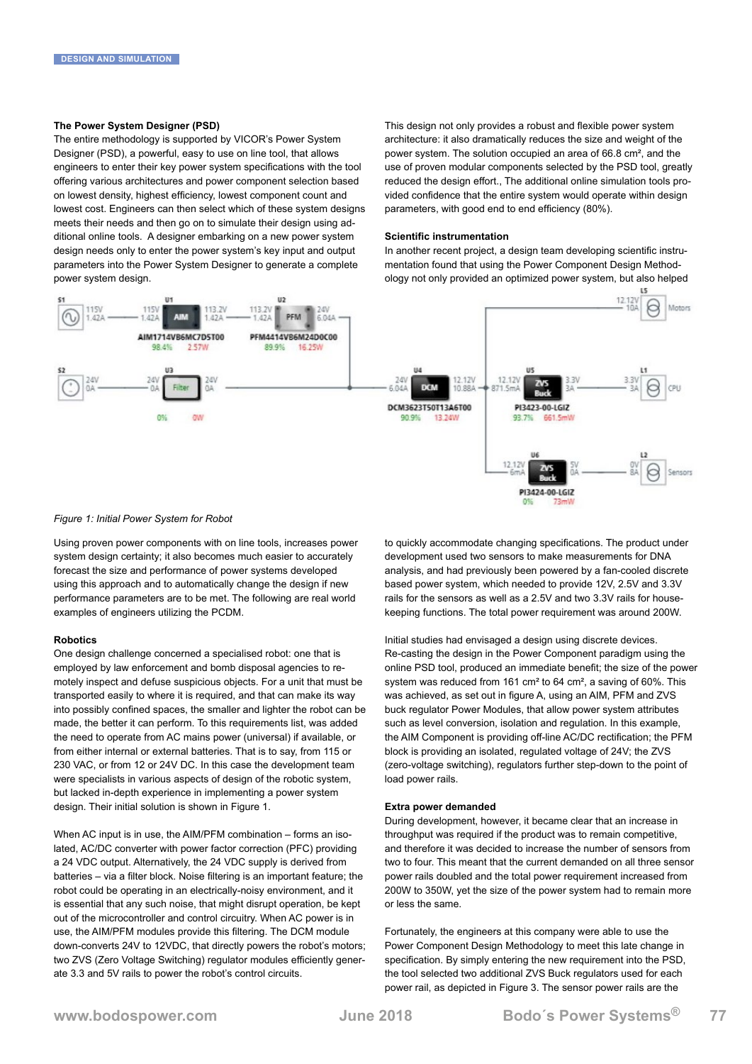#### **The Power System Designer (PSD)**

The entire methodology is supported by VICOR's Power System Designer (PSD), a powerful, easy to use on line tool, that allows engineers to enter their key power system specifications with the tool offering various architectures and power component selection based on lowest density, highest efficiency, lowest component count and lowest cost. Engineers can then select which of these system designs meets their needs and then go on to simulate their design using additional online tools. A designer embarking on a new power system design needs only to enter the power system's key input and output parameters into the Power System Designer to generate a complete power system design.

This design not only provides a robust and flexible power system architecture: it also dramatically reduces the size and weight of the power system. The solution occupied an area of 66.8 cm², and the use of proven modular components selected by the PSD tool, greatly reduced the design effort., The additional online simulation tools provided confidence that the entire system would operate within design parameters, with good end to end efficiency (80%).

#### **Scientific instrumentation**

In another recent project, a design team developing scientific instrumentation found that using the Power Component Design Methodology not only provided an optimized power system, but also helped



#### *Figure 1: Initial Power System for Robot*

Using proven power components with on line tools, increases power system design certainty; it also becomes much easier to accurately forecast the size and performance of power systems developed using this approach and to automatically change the design if new performance parameters are to be met. The following are real world examples of engineers utilizing the PCDM.

#### **Robotics**

One design challenge concerned a specialised robot: one that is employed by law enforcement and bomb disposal agencies to remotely inspect and defuse suspicious objects. For a unit that must be transported easily to where it is required, and that can make its way into possibly confined spaces, the smaller and lighter the robot can be made, the better it can perform. To this requirements list, was added the need to operate from AC mains power (universal) if available, or from either internal or external batteries. That is to say, from 115 or 230 VAC, or from 12 or 24V DC. In this case the development team were specialists in various aspects of design of the robotic system, but lacked in-depth experience in implementing a power system design. Their initial solution is shown in Figure 1.

When AC input is in use, the AIM/PFM combination – forms an isolated, AC/DC converter with power factor correction (PFC) providing a 24 VDC output. Alternatively, the 24 VDC supply is derived from batteries – via a filter block. Noise filtering is an important feature; the robot could be operating in an electrically-noisy environment, and it is essential that any such noise, that might disrupt operation, be kept out of the microcontroller and control circuitry. When AC power is in use, the AIM/PFM modules provide this filtering. The DCM module down-converts 24V to 12VDC, that directly powers the robot's motors; two ZVS (Zero Voltage Switching) regulator modules efficiently generate 3.3 and 5V rails to power the robot's control circuits.

to quickly accommodate changing specifications. The product under development used two sensors to make measurements for DNA analysis, and had previously been powered by a fan-cooled discrete based power system, which needed to provide 12V, 2.5V and 3.3V rails for the sensors as well as a 2.5V and two 3.3V rails for housekeeping functions. The total power requirement was around 200W.

Initial studies had envisaged a design using discrete devices. Re-casting the design in the Power Component paradigm using the online PSD tool, produced an immediate benefit; the size of the power system was reduced from 161 cm² to 64 cm², a saving of 60%. This was achieved, as set out in figure A, using an AIM, PFM and ZVS buck regulator Power Modules, that allow power system attributes such as level conversion, isolation and regulation. In this example, the AIM Component is providing off-line AC/DC rectification; the PFM block is providing an isolated, regulated voltage of 24V; the ZVS (zero-voltage switching), regulators further step-down to the point of load power rails.

#### **Extra power demanded**

During development, however, it became clear that an increase in throughput was required if the product was to remain competitive, and therefore it was decided to increase the number of sensors from two to four. This meant that the current demanded on all three sensor power rails doubled and the total power requirement increased from 200W to 350W, yet the size of the power system had to remain more or less the same.

Fortunately, the engineers at this company were able to use the Power Component Design Methodology to meet this late change in specification. By simply entering the new requirement into the PSD, the tool selected two additional ZVS Buck regulators used for each power rail, as depicted in Figure 3. The sensor power rails are the